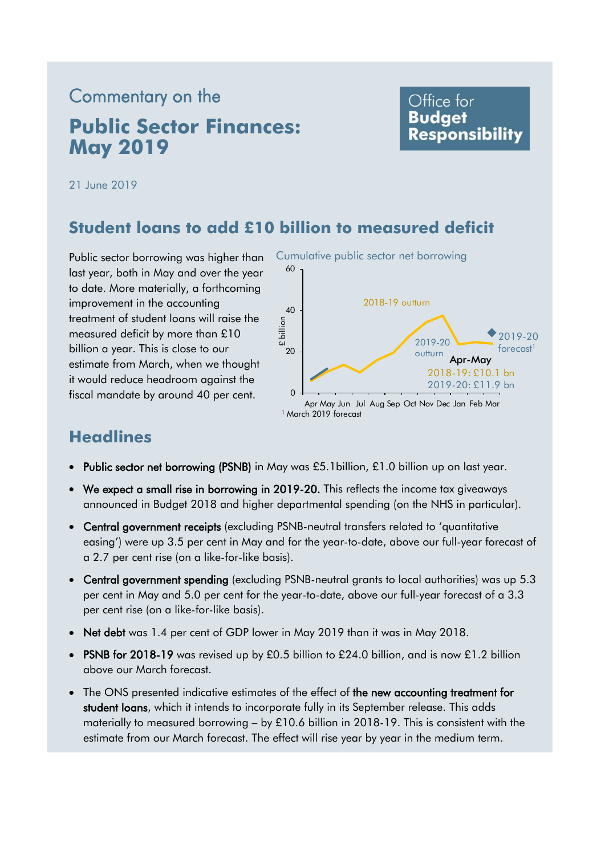# Commentary on the **Public Sector Finances: May 2019**

# Office for **Budget Responsibility**

21 June 2019

# **Student loans to add £10 billion to measured deficit**

Public sector borrowing was higher than last year, both in May and over the year to date. More materially, a forthcoming improvement in the accounting treatment of student loans will raise the measured deficit by more than £10 billion a year. This is close to our estimate from March, when we thought it would reduce headroom against the fiscal mandate by around 40 per cent.



# **Headlines**

- Public sector net borrowing (PSNB) in May was £5.1 billion, £1.0 billion up on last year.
- We expect a small rise in borrowing in 2019-20. This reflects the income tax giveaways announced in Budget 2018 and higher departmental spending (on the NHS in particular).
- Central government receipts (excluding PSNB-neutral transfers related to 'quantitative easing') were up 3.5 per cent in May and for the year-to-date, above our full-year forecast of a 2.7 per cent rise (on a like-for-like basis).
- Central government spending (excluding PSNB-neutral grants to local authorities) was up 5.3 per cent in May and 5.0 per cent for the year-to-date, above our full-year forecast of a 3.3 per cent rise (on a like-for-like basis).
- Net debt was 1.4 per cent of GDP lower in May 2019 than it was in May 2018.
- PSNB for 2018-19 was revised up by £0.5 billion to £24.0 billion, and is now £1.2 billion above our March forecast.
- The ONS presented indicative estimates of the effect of the new accounting treatment for student loans, which it intends to incorporate fully in its September release. This adds materially to measured borrowing – by £10.6 billion in 2018-19. This is consistent with the estimate from our March forecast. The effect will rise year by year in the medium term.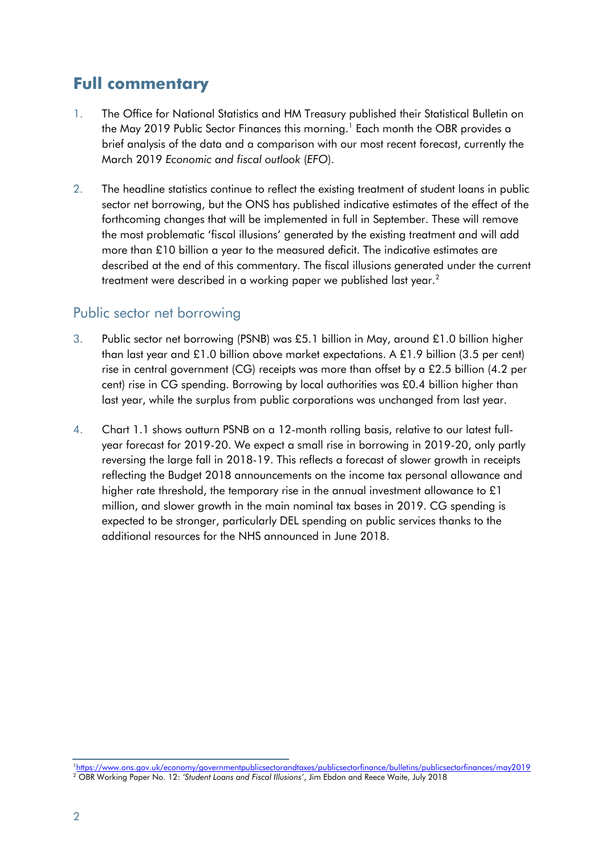# **Full commentary**

- 1. The Office for National Statistics and HM Treasury published their Statistical Bulletin on the May 2019 Public Sector Finances this morning.<sup>1</sup> Each month the OBR provides a brief analysis of the data and a comparison with our most recent forecast, currently the March 2019 *Economic and fiscal outlook* (*EFO*).
- 2. The headline statistics continue to reflect the existing treatment of student loans in public sector net borrowing, but the ONS has published indicative estimates of the effect of the forthcoming changes that will be implemented in full in September. These will remove the most problematic 'fiscal illusions' generated by the existing treatment and will add more than £10 billion a year to the measured deficit. The indicative estimates are described at the end of this commentary. The fiscal illusions generated under the current treatment were described in a working paper we published last year.<sup>2</sup>

### Public sector net borrowing

- 3. Public sector net borrowing (PSNB) was £5.1 billion in May, around £1.0 billion higher than last year and £1.0 billion above market expectations. A £1.9 billion (3.5 per cent) rise in central government (CG) receipts was more than offset by a £2.5 billion (4.2 per cent) rise in CG spending. Borrowing by local authorities was £0.4 billion higher than last year, while the surplus from public corporations was unchanged from last year.
- 4. Chart 1.1 shows outturn PSNB on a 12-month rolling basis, relative to our latest fullyear forecast for 2019-20. We expect a small rise in borrowing in 2019-20, only partly reversing the large fall in 2018-19. This reflects a forecast of slower growth in receipts reflecting the Budget 2018 announcements on the income tax personal allowance and higher rate threshold, the temporary rise in the annual investment allowance to £1 million, and slower growth in the main nominal tax bases in 2019. CG spending is expected to be stronger, particularly DEL spending on public services thanks to the additional resources for the NHS announced in June 2018.

<sup>1</sup><https://www.ons.gov.uk/economy/governmentpublicsectorandtaxes/publicsectorfinance/bulletins/publicsectorfinances/may2019> <sup>2</sup> OBR Working Paper No. 12: *'Student Loans and Fiscal Illusions'*, Jim Ebdon and Reece Waite, July 2018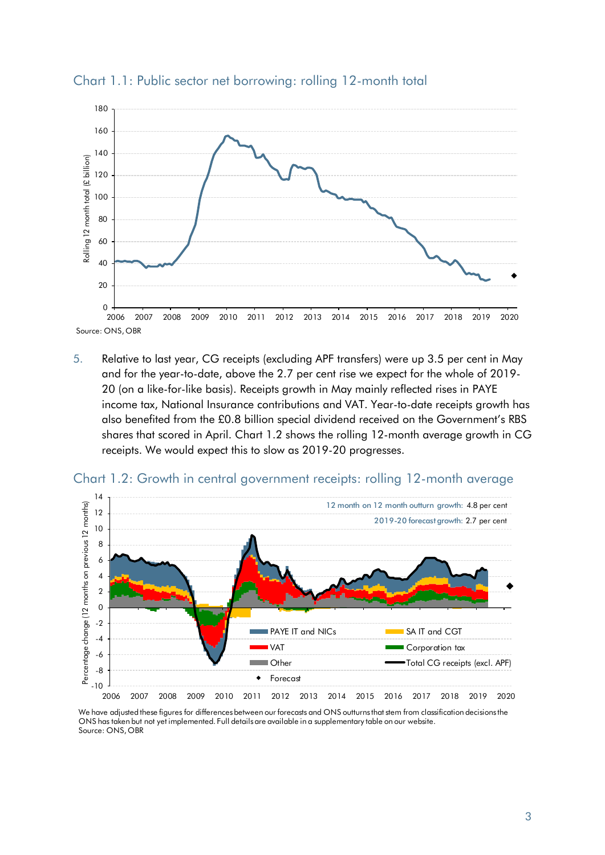

Chart 1.1: Public sector net borrowing: rolling 12-month total

5. Relative to last year, CG receipts (excluding APF transfers) were up 3.5 per cent in May and for the year-to-date, above the 2.7 per cent rise we expect for the whole of 2019- 20 (on a like-for-like basis). Receipts growth in May mainly reflected rises in PAYE income tax, National Insurance contributions and VAT. Year-to-date receipts growth has also benefited from the £0.8 billion special dividend received on the Government's RBS shares that scored in April. Chart 1.2 shows the rolling 12-month average growth in CG receipts. We would expect this to slow as 2019-20 progresses.



Chart 1.2: Growth in central government receipts: rolling 12-month average

We have adjusted these figures for differences between our forecasts and ONS outturns that stem from classification decisions the ONS has taken but not yet implemented. Full details are available in a supplementary table on our website. Source: ONS, OBR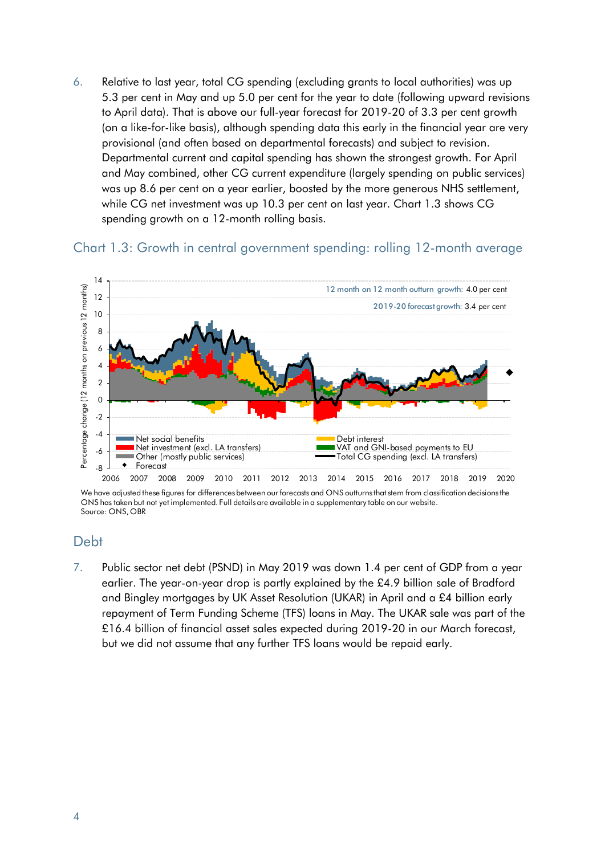6. Relative to last year, total CG spending (excluding grants to local authorities) was up 5.3 per cent in May and up 5.0 per cent for the year to date (following upward revisions to April data). That is above our full-year forecast for 2019-20 of 3.3 per cent growth (on a like-for-like basis), although spending data this early in the financial year are very provisional (and often based on departmental forecasts) and subject to revision. Departmental current and capital spending has shown the strongest growth. For April and May combined, other CG current expenditure (largely spending on public services) was up 8.6 per cent on a year earlier, boosted by the more generous NHS settlement, while CG net investment was up 10.3 per cent on last year. Chart 1.3 shows CG spending growth on a 12-month rolling basis.

#### Chart 1.3: Growth in central government spending: rolling 12-month average



We have adjusted these figures for differences between our forecasts and ONS outturns that stem from classification decisions the ONS has taken but not yet implemented. Full details are available in a supplementary table on our website. Source: ONS, OBR

#### **Debt**

7. Public sector net debt (PSND) in May 2019 was down 1.4 per cent of GDP from a year earlier. The year-on-year drop is partly explained by the £4.9 billion sale of Bradford and Bingley mortgages by UK Asset Resolution (UKAR) in April and a £4 billion early repayment of Term Funding Scheme (TFS) loans in May. The UKAR sale was part of the £16.4 billion of financial asset sales expected during 2019-20 in our March forecast, but we did not assume that any further TFS loans would be repaid early.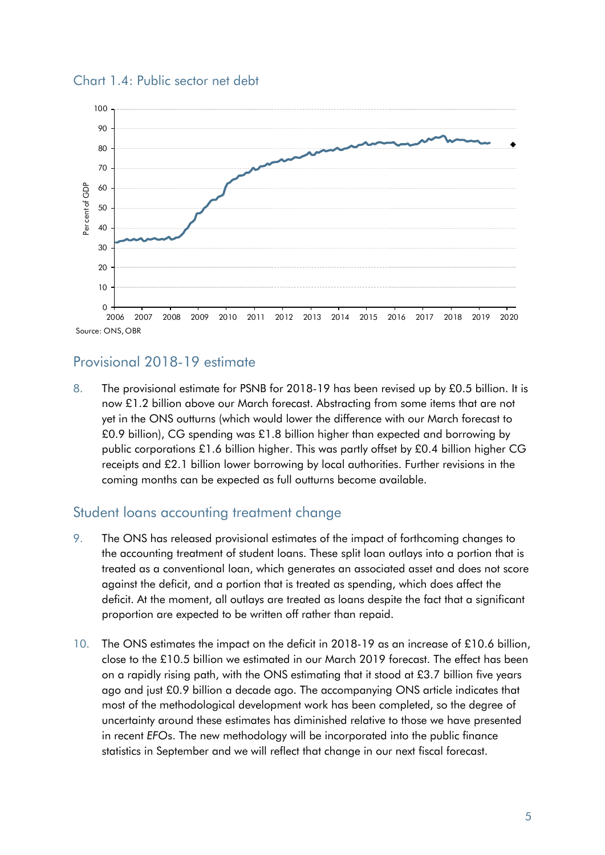



## Provisional 2018-19 estimate

8. The provisional estimate for PSNB for 2018-19 has been revised up by £0.5 billion. It is now £1.2 billion above our March forecast. Abstracting from some items that are not yet in the ONS outturns (which would lower the difference with our March forecast to £0.9 billion), CG spending was £1.8 billion higher than expected and borrowing by public corporations £1.6 billion higher. This was partly offset by £0.4 billion higher CG receipts and £2.1 billion lower borrowing by local authorities. Further revisions in the coming months can be expected as full outturns become available.

### Student loans accounting treatment change

- 9. The ONS has released provisional estimates of the impact of forthcoming changes to the accounting treatment of student loans. These split loan outlays into a portion that is treated as a conventional loan, which generates an associated asset and does not score against the deficit, and a portion that is treated as spending, which does affect the deficit. At the moment, all outlays are treated as loans despite the fact that a significant proportion are expected to be written off rather than repaid.
- 10. The ONS estimates the impact on the deficit in 2018-19 as an increase of £10.6 billion, close to the £10.5 billion we estimated in our March 2019 forecast. The effect has been on a rapidly rising path, with the ONS estimating that it stood at £3.7 billion five years ago and just £0.9 billion a decade ago. The accompanying ONS article indicates that most of the methodological development work has been completed, so the degree of uncertainty around these estimates has diminished relative to those we have presented in recent *EFO*s. The new methodology will be incorporated into the public finance statistics in September and we will reflect that change in our next fiscal forecast.